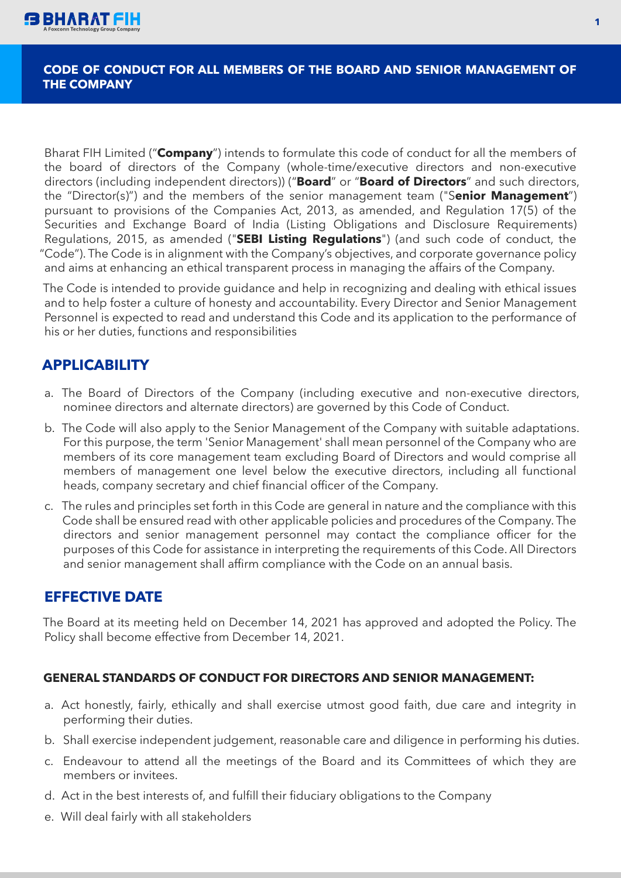

#### **CODE OF CONDUCT FOR ALL MEMBERS OF THE BOARD AND SENIOR MANAGEMENT OF THE COMPANY**

Bharat FIH Limited ("**Company**") intends to formulate this code of conduct for all the members of the board of directors of the Company (whole-time/executive directors and non-executive directors (including independent directors)) ("**Board**" or "**Board of Directors**" and such directors, the "Director(s)") and the members of the senior management team ("S**enior Management**") pursuant to provisions of the Companies Act, 2013, as amended, and Regulation 17(5) of the Securities and Exchange Board of India (Listing Obligations and Disclosure Requirements) Regulations, 2015, as amended ("**SEBI Listing Regulations**") (and such code of conduct, the "Code"). The Code is in alignment with the Company's objectives, and corporate governance policy and aims at enhancing an ethical transparent process in managing the affairs of the Company.

The Code is intended to provide guidance and help in recognizing and dealing with ethical issues and to help foster a culture of honesty and accountability. Every Director and Senior Management Personnel is expected to read and understand this Code and its application to the performance of his or her duties, functions and responsibilities

# **APPLICABILITY**

- a. The Board of Directors of the Company (including executive and non-executive directors, nominee directors and alternate directors) are governed by this Code of Conduct.
- b. The Code will also apply to the Senior Management of the Company with suitable adaptations. For this purpose, the term 'Senior Management' shall mean personnel of the Company who are members of its core management team excluding Board of Directors and would comprise all members of management one level below the executive directors, including all functional heads, company secretary and chief financial officer of the Company.
- c. The rules and principles set forth in this Code are general in nature and the compliance with this Code shall be ensured read with other applicable policies and procedures of the Company. The directors and senior management personnel may contact the compliance officer for the purposes of this Code for assistance in interpreting the requirements of this Code. All Directors and senior management shall affirm compliance with the Code on an annual basis.

# **EFFECTIVE DATE**

The Board at its meeting held on December 14, 2021 has approved and adopted the Policy. The Policy shall become effective from December 14, 2021.

#### **GENERAL STANDARDS OF CONDUCT FOR DIRECTORS AND SENIOR MANAGEMENT:**

- a. Act honestly, fairly, ethically and shall exercise utmost good faith, due care and integrity in performing their duties.
- b. Shall exercise independent judgement, reasonable care and diligence in performing his duties.
- c. Endeavour to attend all the meetings of the Board and its Committees of which they are members or invitees.
- d. Act in the best interests of, and fulfill their fiduciary obligations to the Company
- e. Will deal fairly with all stakeholders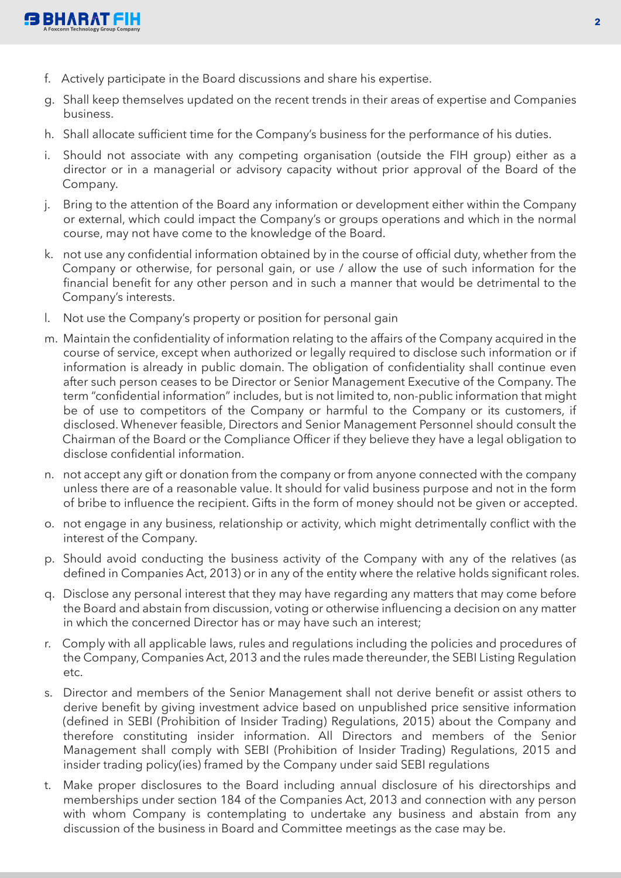

- f. Actively participate in the Board discussions and share his expertise.
- g. Shall keep themselves updated on the recent trends in their areas of expertise and Companies business.
- h. Shall allocate sufficient time for the Company's business for the performance of his duties.
- i. Should not associate with any competing organisation (outside the FIH group) either as a director or in a managerial or advisory capacity without prior approval of the Board of the Company.
- j. Bring to the attention of the Board any information or development either within the Company or external, which could impact the Company's or groups operations and which in the normal course, may not have come to the knowledge of the Board.
- k. not use any confidential information obtained by in the course of official duty, whether from the Company or otherwise, for personal gain, or use / allow the use of such information for the financial benefit for any other person and in such a manner that would be detrimental to the Company's interests.
- l. Not use the Company's property or position for personal gain
- m. Maintain the confidentiality of information relating to the affairs of the Company acquired in the course of service, except when authorized or legally required to disclose such information or if information is already in public domain. The obligation of confidentiality shall continue even after such person ceases to be Director or Senior Management Executive of the Company. The term "confidential information" includes, but is not limited to, non-public information that might be of use to competitors of the Company or harmful to the Company or its customers, if disclosed. Whenever feasible, Directors and Senior Management Personnel should consult the Chairman of the Board or the Compliance Officer if they believe they have a legal obligation to disclose confidential information.
- n. not accept any gift or donation from the company or from anyone connected with the company unless there are of a reasonable value. It should for valid business purpose and not in the form of bribe to influence the recipient. Gifts in the form of money should not be given or accepted.
- o. not engage in any business, relationship or activity, which might detrimentally conflict with the interest of the Company.
- p. Should avoid conducting the business activity of the Company with any of the relatives (as defined in Companies Act, 2013) or in any of the entity where the relative holds significant roles.
- q. Disclose any personal interest that they may have regarding any matters that may come before the Board and abstain from discussion, voting or otherwise influencing a decision on any matter in which the concerned Director has or may have such an interest;
- r. Comply with all applicable laws, rules and regulations including the policies and procedures of the Company, Companies Act, 2013 and the rules made thereunder, the SEBI Listing Regulation etc.
- s. Director and members of the Senior Management shall not derive benefit or assist others to derive benefit by giving investment advice based on unpublished price sensitive information (defined in SEBI (Prohibition of Insider Trading) Regulations, 2015) about the Company and therefore constituting insider information. All Directors and members of the Senior Management shall comply with SEBI (Prohibition of Insider Trading) Regulations, 2015 and insider trading policy(ies) framed by the Company under said SEBI regulations
- t. Make proper disclosures to the Board including annual disclosure of his directorships and memberships under section 184 of the Companies Act, 2013 and connection with any person with whom Company is contemplating to undertake any business and abstain from any discussion of the business in Board and Committee meetings as the case may be.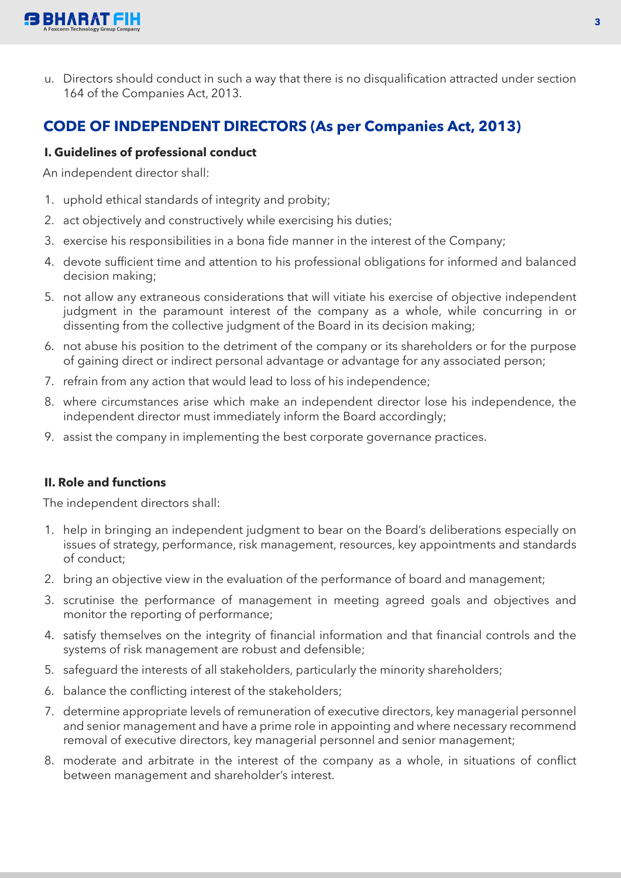

u. Directors should conduct in such a way that there is no disqualification attracted under section 164 of the Companies Act, 2013.

# **CODE OF INDEPENDENT DIRECTORS (As per Companies Act, 2013)**

### **I. Guidelines of professional conduct**

An independent director shall:

- 1. uphold ethical standards of integrity and probity;
- 2. act objectively and constructively while exercising his duties;
- 3. exercise his responsibilities in a bona fide manner in the interest of the Company;
- 4. devote sufficient time and attention to his professional obligations for informed and balanced decision making;
- 5. not allow any extraneous considerations that will vitiate his exercise of objective independent judgment in the paramount interest of the company as a whole, while concurring in or dissenting from the collective judgment of the Board in its decision making;
- 6. not abuse his position to the detriment of the company or its shareholders or for the purpose of gaining direct or indirect personal advantage or advantage for any associated person;
- 7. refrain from any action that would lead to loss of his independence;
- 8. where circumstances arise which make an independent director lose his independence, the independent director must immediately inform the Board accordingly;
- 9. assist the company in implementing the best corporate governance practices.

### **II. Role and functions**

The independent directors shall:

- 1. help in bringing an independent judgment to bear on the Board's deliberations especially on issues of strategy, performance, risk management, resources, key appointments and standards of conduct;
- 2. bring an objective view in the evaluation of the performance of board and management;
- 3. scrutinise the performance of management in meeting agreed goals and objectives and monitor the reporting of performance;
- 4. satisfy themselves on the integrity of financial information and that financial controls and the systems of risk management are robust and defensible;
- 5. safeguard the interests of all stakeholders, particularly the minority shareholders;
- 6. balance the conflicting interest of the stakeholders;
- 7. determine appropriate levels of remuneration of executive directors, key managerial personnel and senior management and have a prime role in appointing and where necessary recommend removal of executive directors, key managerial personnel and senior management;
- 8. moderate and arbitrate in the interest of the company as a whole, in situations of conflict between management and shareholder's interest.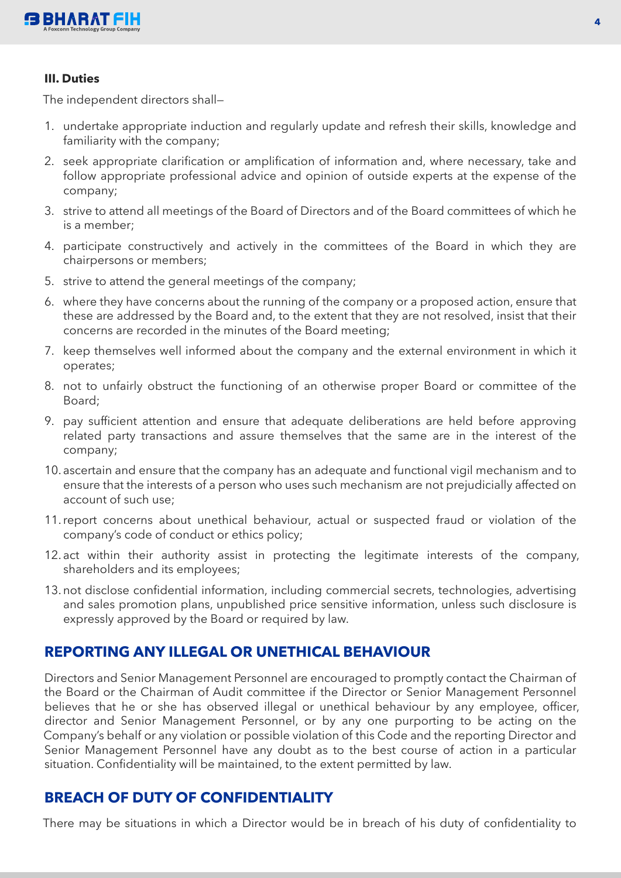

#### **III. Duties**

The independent directors shall—

- 1. undertake appropriate induction and regularly update and refresh their skills, knowledge and familiarity with the company;
- 2. seek appropriate clarification or amplification of information and, where necessary, take and follow appropriate professional advice and opinion of outside experts at the expense of the company;
- 3. strive to attend all meetings of the Board of Directors and of the Board committees of which he is a member;
- 4. participate constructively and actively in the committees of the Board in which they are chairpersons or members;
- 5. strive to attend the general meetings of the company;
- 6. where they have concerns about the running of the company or a proposed action, ensure that these are addressed by the Board and, to the extent that they are not resolved, insist that their concerns are recorded in the minutes of the Board meeting;
- 7. keep themselves well informed about the company and the external environment in which it operates;
- 8. not to unfairly obstruct the functioning of an otherwise proper Board or committee of the Board;
- 9. pay sufficient attention and ensure that adequate deliberations are held before approving related party transactions and assure themselves that the same are in the interest of the company;
- 10. ascertain and ensure that the company has an adequate and functional vigil mechanism and to ensure that the interests of a person who uses such mechanism are not prejudicially affected on account of such use;
- 11. report concerns about unethical behaviour, actual or suspected fraud or violation of the company's code of conduct or ethics policy;
- 12. act within their authority assist in protecting the legitimate interests of the company, shareholders and its employees;
- 13. not disclose confidential information, including commercial secrets, technologies, advertising and sales promotion plans, unpublished price sensitive information, unless such disclosure is expressly approved by the Board or required by law.

## **REPORTING ANY ILLEGAL OR UNETHICAL BEHAVIOUR**

Directors and Senior Management Personnel are encouraged to promptly contact the Chairman of the Board or the Chairman of Audit committee if the Director or Senior Management Personnel believes that he or she has observed illegal or unethical behaviour by any employee, officer, director and Senior Management Personnel, or by any one purporting to be acting on the Company's behalf or any violation or possible violation of this Code and the reporting Director and Senior Management Personnel have any doubt as to the best course of action in a particular situation. Confidentiality will be maintained, to the extent permitted by law.

## **BREACH OF DUTY OF CONFIDENTIALITY**

There may be situations in which a Director would be in breach of his duty of confidentiality to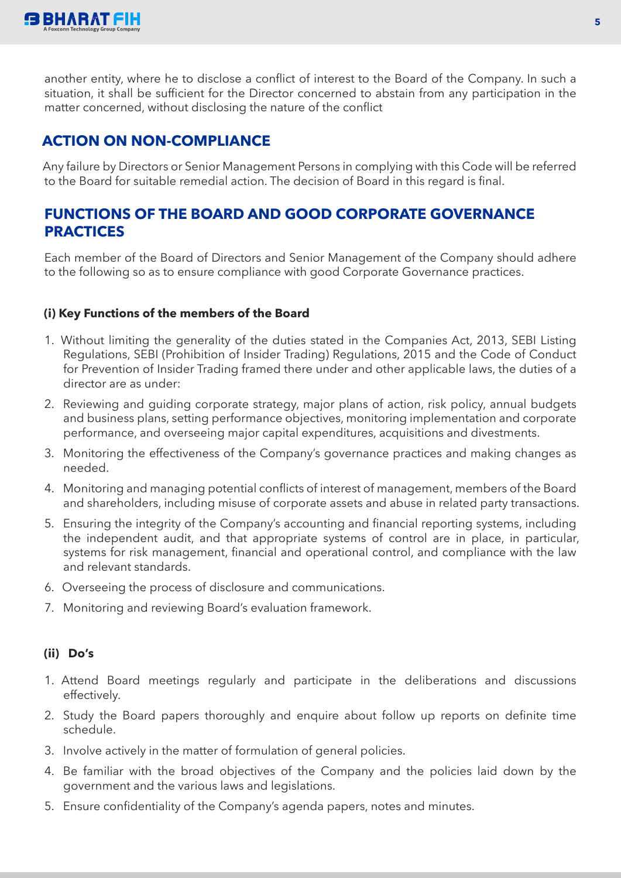

another entity, where he to disclose a conflict of interest to the Board of the Company. In such a situation, it shall be sufficient for the Director concerned to abstain from any participation in the matter concerned, without disclosing the nature of the conflict

# **ACTION ON NON-COMPLIANCE**

Any failure by Directors or Senior Management Persons in complying with this Code will be referred to the Board for suitable remedial action. The decision of Board in this regard is final.

# **FUNCTIONS OF THE BOARD AND GOOD CORPORATE GOVERNANCE PRACTICES**

Each member of the Board of Directors and Senior Management of the Company should adhere to the following so as to ensure compliance with good Corporate Governance practices.

### **(i) Key Functions of the members of the Board**

- 1. Without limiting the generality of the duties stated in the Companies Act, 2013, SEBI Listing Regulations, SEBI (Prohibition of Insider Trading) Regulations, 2015 and the Code of Conduct for Prevention of Insider Trading framed there under and other applicable laws, the duties of a director are as under:
- 2. Reviewing and guiding corporate strategy, major plans of action, risk policy, annual budgets and business plans, setting performance objectives, monitoring implementation and corporate performance, and overseeing major capital expenditures, acquisitions and divestments.
- 3. Monitoring the effectiveness of the Company's governance practices and making changes as needed.
- 4. Monitoring and managing potential conflicts of interest of management, members of the Board and shareholders, including misuse of corporate assets and abuse in related party transactions.
- 5. Ensuring the integrity of the Company's accounting and financial reporting systems, including the independent audit, and that appropriate systems of control are in place, in particular, systems for risk management, financial and operational control, and compliance with the law and relevant standards.
- 6. Overseeing the process of disclosure and communications.
- 7. Monitoring and reviewing Board's evaluation framework.

### **(ii) Do's**

- 1. Attend Board meetings regularly and participate in the deliberations and discussions effectively.
- 2. Study the Board papers thoroughly and enquire about follow up reports on definite time schedule.
- 3. Involve actively in the matter of formulation of general policies.
- 4. Be familiar with the broad objectives of the Company and the policies laid down by the government and the various laws and legislations.
- 5. Ensure confidentiality of the Company's agenda papers, notes and minutes.